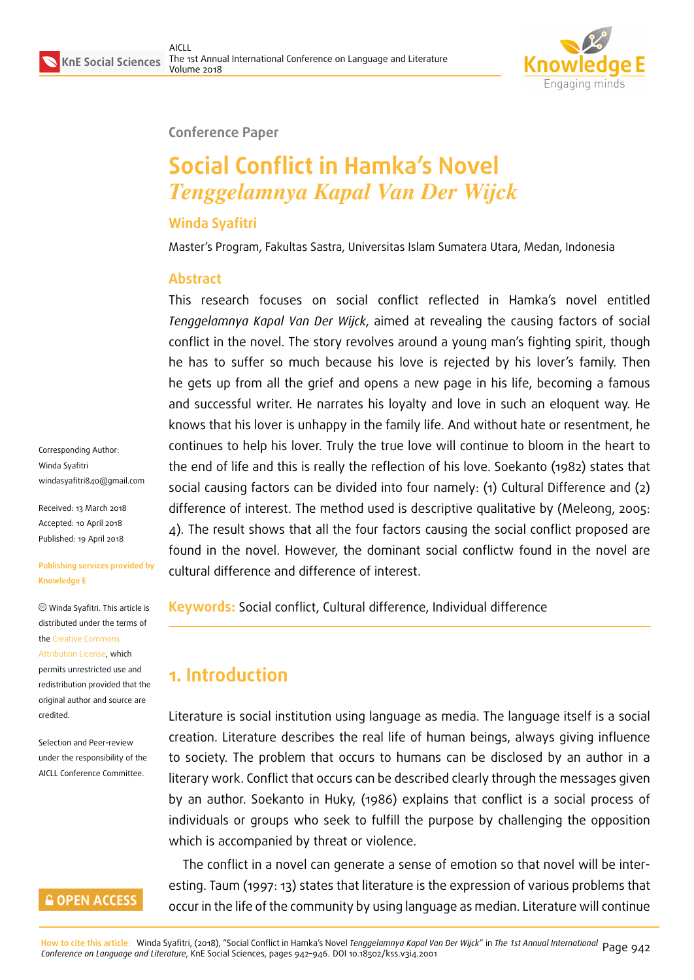

#### **Conference Paper**

# **Social Conflict in Hamka's Novel** *Tenggelamnya Kapal Van Der Wijck*

#### **Winda Syafitri**

Master's Program, Fakultas Sastra, Universitas Islam Sumatera Utara, Medan, Indonesia

#### **Abstract**

This research focuses on social conflict reflected in Hamka's novel entitled *Tenggelamnya Kapal Van Der Wijck*, aimed at revealing the causing factors of social conflict in the novel. The story revolves around a young man's fighting spirit, though he has to suffer so much because his love is rejected by his lover's family. Then he gets up from all the grief and opens a new page in his life, becoming a famous and successful writer. He narrates his loyalty and love in such an eloquent way. He knows that his lover is unhappy in the family life. And without hate or resentment, he continues to help his lover. Truly the true love will continue to bloom in the heart to the end of life and this is really the reflection of his love. Soekanto (1982) states that social causing factors can be divided into four namely: (1) Cultural Difference and (2) difference of interest. The method used is descriptive qualitative by (Meleong, 2005: 4). The result shows that all the four factors causing the social conflict proposed are found in the novel. However, the dominant social conflictw found in the novel are cultural difference and difference of interest.

**Keywords:** Social conflict, Cultural difference, Individual difference

# **1. Introduction**

Literature is social institution using language as media. The language itself is a social creation. Literature describes the real life of human beings, always giving influence to society. The problem that occurs to humans can be disclosed by an author in a literary work. Conflict that occurs can be described clearly through the messages given by an author. Soekanto in Huky, (1986) explains that conflict is a social process of individuals or groups who seek to fulfill the purpose by challenging the opposition which is accompanied by threat or violence.

The conflict in a novel can generate a sense of emotion so that novel will be interesting. Taum (1997: 13) states that literature is the expression of various problems that occur in the life of the community by using language as median. Literature will continue

the Creative Commons Attribution License, which permits unrestricted use and

redistribution provided that the ori[ginal author and sou](https://creativecommons.org/licenses/by/4.0/)rce are [credited.](https://creativecommons.org/licenses/by/4.0/)

Corresponding Author: Winda Syafitri

windasyafitri840@gmail.com

**Publishing services provided by**

Winda Syafitri. This article is distributed under the terms of

Received: 13 March 2018 Accepted: 10 April 2018 [Published: 19 April 2018](mailto:windasyafitri840@gmail.com)

**Knowledge E**

Selection and Peer-review under the responsibility of the AICLL Conference Committee.

#### **GOPEN ACCESS**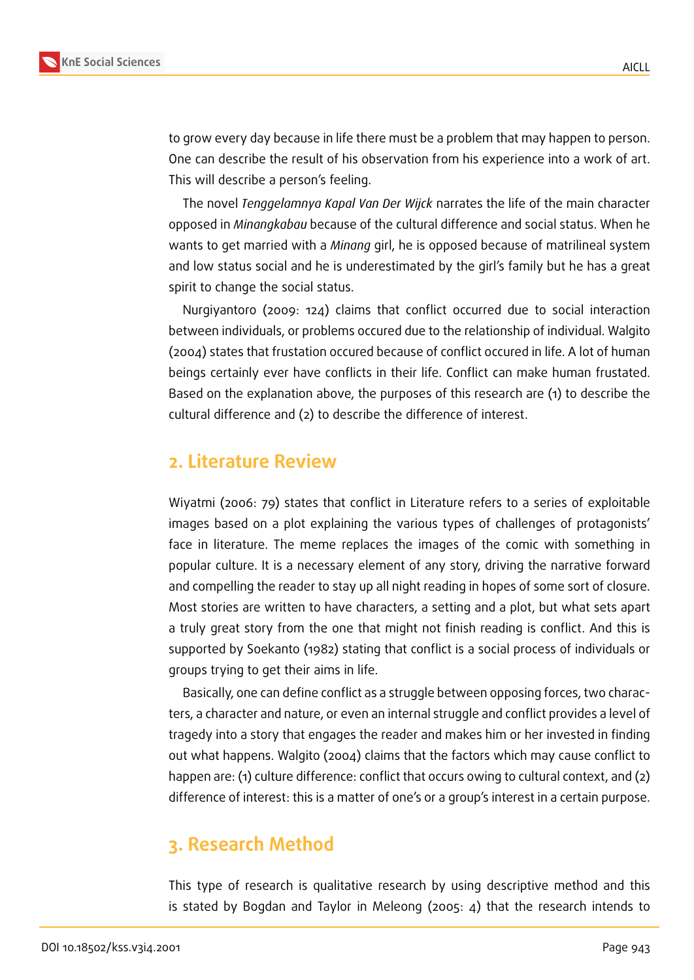

to grow every day because in life there must be a problem that may happen to person. One can describe the result of his observation from his experience into a work of art. This will describe a person's feeling.

The novel *Tenggelamnya Kapal Van Der Wijck* narrates the life of the main character opposed in *Minangkabau* because of the cultural difference and social status. When he wants to get married with a *Minang* girl, he is opposed because of matrilineal system and low status social and he is underestimated by the girl's family but he has a great spirit to change the social status.

Nurgiyantoro (2009: 124) claims that conflict occurred due to social interaction between individuals, or problems occured due to the relationship of individual. Walgito (2004) states that frustation occured because of conflict occured in life. A lot of human beings certainly ever have conflicts in their life. Conflict can make human frustated. Based on the explanation above, the purposes of this research are (1) to describe the cultural difference and (2) to describe the difference of interest.

### **2. Literature Review**

Wiyatmi (2006: 79) states that conflict in Literature refers to a series of exploitable images based on a plot explaining the various types of challenges of protagonists' face in literature. The meme replaces the images of the comic with something in popular culture. It is a necessary element of any story, driving the narrative forward and compelling the reader to stay up all night reading in hopes of some sort of closure. Most stories are written to have characters, a setting and a plot, but what sets apart a truly great story from the one that might not finish reading is conflict. And this is supported by Soekanto (1982) stating that conflict is a social process of individuals or groups trying to get their aims in life.

Basically, one can define conflict as a struggle between opposing forces, two characters, a character and nature, or even an internal struggle and conflict provides a level of tragedy into a story that engages the reader and makes him or her invested in finding out what happens. Walgito (2004) claims that the factors which may cause conflict to happen are: (1) culture difference: conflict that occurs owing to cultural context, and (2) difference of interest: this is a matter of one's or a group's interest in a certain purpose.

# **3. Research Method**

This type of research is qualitative research by using descriptive method and this is stated by Bogdan and Taylor in Meleong (2005: 4) that the research intends to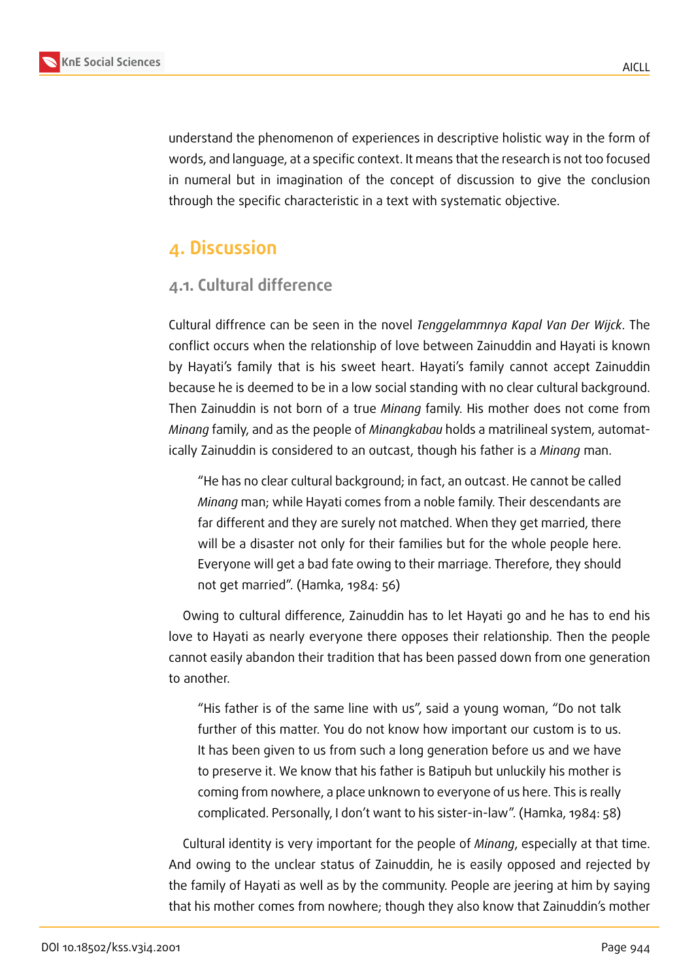

understand the phenomenon of experiences in descriptive holistic way in the form of words, and language, at a specific context. It means that the research is not too focused in numeral but in imagination of the concept of discussion to give the conclusion through the specific characteristic in a text with systematic objective.

# **4. Discussion**

### **4.1. Cultural difference**

Cultural diffrence can be seen in the novel *Tenggelammnya Kapal Van Der Wijck*. The conflict occurs when the relationship of love between Zainuddin and Hayati is known by Hayati's family that is his sweet heart. Hayati's family cannot accept Zainuddin because he is deemed to be in a low social standing with no clear cultural background. Then Zainuddin is not born of a true *Minang* family. His mother does not come from *Minang* family, and as the people of *Minangkabau* holds a matrilineal system, automatically Zainuddin is considered to an outcast, though his father is a *Minang* man.

"He has no clear cultural background; in fact, an outcast. He cannot be called *Minang* man; while Hayati comes from a noble family. Their descendants are far different and they are surely not matched. When they get married, there will be a disaster not only for their families but for the whole people here. Everyone will get a bad fate owing to their marriage. Therefore, they should not get married". (Hamka, 1984: 56)

Owing to cultural difference, Zainuddin has to let Hayati go and he has to end his love to Hayati as nearly everyone there opposes their relationship. Then the people cannot easily abandon their tradition that has been passed down from one generation to another.

"His father is of the same line with us", said a young woman, "Do not talk further of this matter. You do not know how important our custom is to us. It has been given to us from such a long generation before us and we have to preserve it. We know that his father is Batipuh but unluckily his mother is coming from nowhere, a place unknown to everyone of us here. This is really complicated. Personally, I don't want to his sister-in-law". (Hamka, 1984: 58)

Cultural identity is very important for the people of *Minang*, especially at that time. And owing to the unclear status of Zainuddin, he is easily opposed and rejected by the family of Hayati as well as by the community. People are jeering at him by saying that his mother comes from nowhere; though they also know that Zainuddin's mother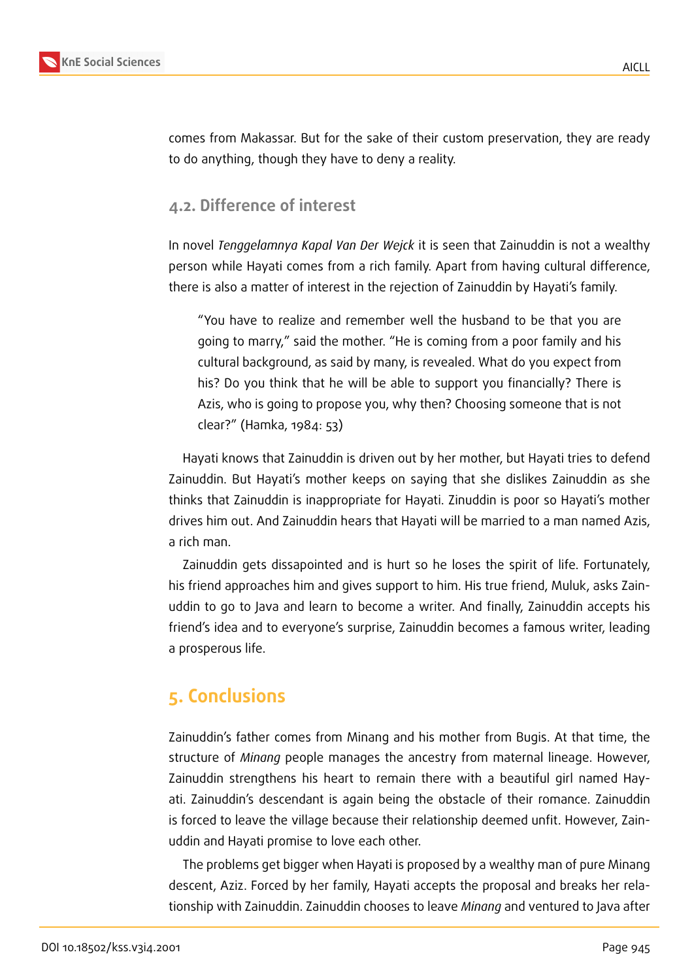

comes from Makassar. But for the sake of their custom preservation, they are ready to do anything, though they have to deny a reality.

#### **4.2. Difference of interest**

In novel *Tenggelamnya Kapal Van Der Wejck* it is seen that Zainuddin is not a wealthy person while Hayati comes from a rich family. Apart from having cultural difference, there is also a matter of interest in the rejection of Zainuddin by Hayati's family.

"You have to realize and remember well the husband to be that you are going to marry," said the mother. "He is coming from a poor family and his cultural background, as said by many, is revealed. What do you expect from his? Do you think that he will be able to support you financially? There is Azis, who is going to propose you, why then? Choosing someone that is not clear?" (Hamka, 1984: 53)

Hayati knows that Zainuddin is driven out by her mother, but Hayati tries to defend Zainuddin. But Hayati's mother keeps on saying that she dislikes Zainuddin as she thinks that Zainuddin is inappropriate for Hayati. Zinuddin is poor so Hayati's mother drives him out. And Zainuddin hears that Hayati will be married to a man named Azis, a rich man.

Zainuddin gets dissapointed and is hurt so he loses the spirit of life. Fortunately, his friend approaches him and gives support to him. His true friend, Muluk, asks Zainuddin to go to Java and learn to become a writer. And finally, Zainuddin accepts his friend's idea and to everyone's surprise, Zainuddin becomes a famous writer, leading a prosperous life.

# **5. Conclusions**

Zainuddin's father comes from Minang and his mother from Bugis. At that time, the structure of *Minang* people manages the ancestry from maternal lineage. However, Zainuddin strengthens his heart to remain there with a beautiful girl named Hayati. Zainuddin's descendant is again being the obstacle of their romance. Zainuddin is forced to leave the village because their relationship deemed unfit. However, Zainuddin and Hayati promise to love each other.

The problems get bigger when Hayati is proposed by a wealthy man of pure Minang descent, Aziz. Forced by her family, Hayati accepts the proposal and breaks her relationship with Zainuddin. Zainuddin chooses to leave *Minang* and ventured to Java after